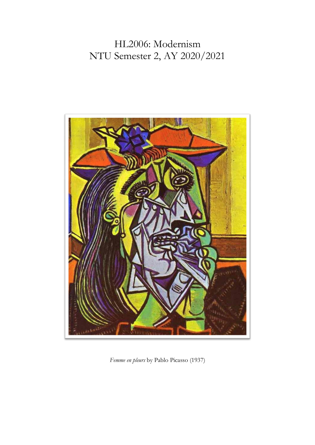# HL2006: Modernism NTU Semester 2, AY 2020/2021



*Femme en pleurs* by Pablo Picasso (1937)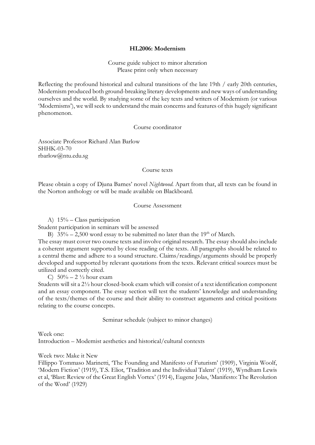## **HL2006: Modernism**

Course guide subject to minor alteration Please print only when necessary

Reflecting the profound historical and cultural transitions of the late 19th / early 20th centuries, Modernism produced both ground-breaking literary developments and new ways of understanding ourselves and the world. By studying some of the key texts and writers of Modernism (or various 'Modernisms'), we will seek to understand the main concerns and features of this hugely significant phenomenon.

#### Course coordinator

Associate Professor Richard Alan Barlow SHHK-03-70 rbarlow@ntu.edu.sg

#### Course texts

Please obtain a copy of Djuna Barnes' novel *Nightwood*. Apart from that, all texts can be found in the Norton anthology or will be made available on Blackboard.

# Course Assessment

A) 15% – Class participation

Student participation in seminars will be assessed

B)  $35\% - 2,500$  word essay to be submitted no later than the 19<sup>th</sup> of March.

The essay must cover two course texts and involve original research. The essay should also include a coherent argument supported by close reading of the texts. All paragraphs should be related to a central theme and adhere to a sound structure. Claims/readings/arguments should be properly developed and supported by relevant quotations from the texts. Relevant critical sources must be utilized and correctly cited.

C)  $50\% - 2\frac{1}{2}$  hour exam

Students will sit a 2½ hour closed-book exam which will consist of a text identification component and an essay component. The essay section will test the students' knowledge and understanding of the texts/themes of the course and their ability to construct arguments and critical positions relating to the course concepts.

Seminar schedule (subject to minor changes)

Week one: Introduction – Modernist aesthetics and historical/cultural contexts

Week two: Make it New

Fillippo Tommaso Marinetti, 'The Founding and Manifesto of Futurism' (1909), Virginia Woolf, 'Modern Fiction' (1919), T.S. Eliot, 'Tradition and the Individual Talent' (1919), Wyndham Lewis et al, 'Blast: Review of the Great English Vortex' (1914), Eugene Jolas, 'Manifesto: The Revolution of the Word' (1929)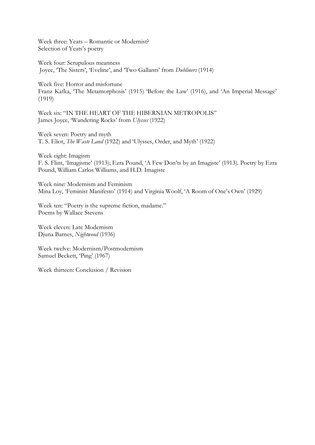Week three: Yeats – Romantic or Modernist? Selection of Yeats's poetry

Week four: Scrupulous meanness Joyce, 'The Sisters', 'Eveline', and 'Two Gallants' from *Dubliners* (1914)

Week five: Horror and misfortune Franz Kafka, 'The Metamorphosis' (1915) 'Before the Law' (1916), and 'An Imperial Message' (1919)

Week six: "IN THE HEART OF THE HIBERNIAN METROPOLIS" James Joyce, 'Wandering Rocks' from *Ulysses* (1922)

Week seven: Poetry and myth T. S. Eliot, *The Waste Land* (1922) and 'Ulysses, Order, and Myth' (1922)

Week eight: Imagism F. S. Flint, 'Imagisme' (1913); Ezra Pound, 'A Few Don'ts by an Imagiste' (1913). Poetry by Ezra Pound, William Carlos Williams, and H.D. Imagiste

Week nine: Modernism and Feminism Mina Loy, 'Feminist Manifesto' (1914) and Virginia Woolf, 'A Room of One's Own' (1929)

Week ten: "Poetry is the supreme fiction, madame." Poems by Wallace Stevens

Week eleven: Late Modernism Djuna Barnes, *Nightwood* (1936)

Week twelve: Modernism/Postmodernism Samuel Beckett, 'Ping' (1967)

Week thirteen: Conclusion / Revision